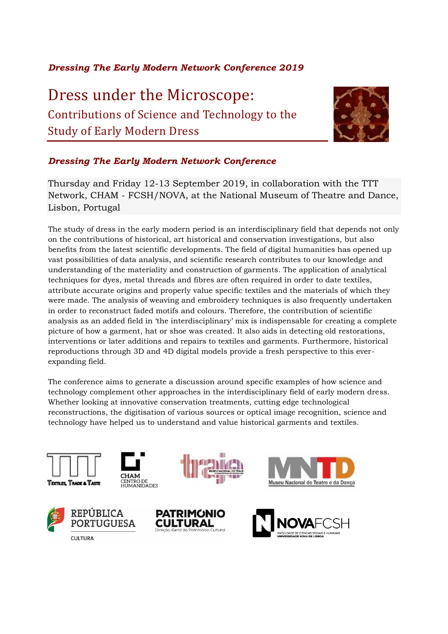# *Dressing The Early Modern Network Conference 2019*

Dress under the Microscope: Contributions of Science and Technology to the Study of Early Modern Dress



# *Dressing The Early Modern Network Conference*

Thursday and Friday 12-13 September 2019, in collaboration with the TTT Network, CHAM - FCSH/NOVA, at the National Museum of Theatre and Dance, Lisbon, Portugal

The study of dress in the early modern period is an interdisciplinary field that depends not only on the contributions of historical, art historical and conservation investigations, but also benefits from the latest scientific developments. The field of digital humanities has opened up vast possibilities of data analysis, and scientific research contributes to our knowledge and understanding of the materiality and construction of garments. The application of analytical techniques for dyes, metal threads and fibres are often required in order to date textiles, attribute accurate origins and properly value specific textiles and the materials of which they were made. The analysis of weaving and embroidery techniques is also frequently undertaken in order to reconstruct faded motifs and colours. Therefore, the contribution of scientific analysis as an added field in 'the interdisciplinary' mix is indispensable for creating a complete picture of how a garment, hat or shoe was created. It also aids in detecting old restorations, interventions or later additions and repairs to textiles and garments. Furthermore, historical reproductions through 3D and 4D digital models provide a fresh perspective to this everexpanding field.

The conference aims to generate a discussion around specific examples of how science and technology complement other approaches in the interdisciplinary field of early modern dress. Whether looking at innovative conservation treatments, cutting edge technological reconstructions, the digitisation of various sources or optical image recognition, science and technology have helped us to understand and value historical garments and textiles.













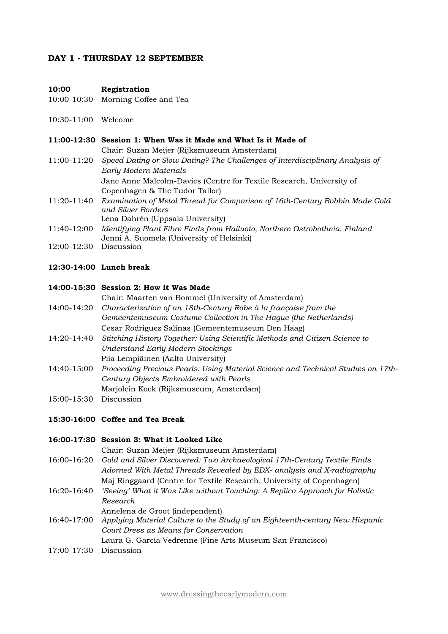## **DAY 1 - THURSDAY 12 SEPTEMBER**

#### **10:00 Registration**

- 10:00-10:30 Morning Coffee and Tea
- 10:30-11:00 Welcome

### **11:00-12:30 Session 1: When Was it Made and What Is it Made of**

Chair: Suzan Meijer (Rijksmuseum Amsterdam)

- 11:00-11:20 *Speed Dating or Slow Dating? The Challenges of Interdisciplinary Analysis of Early Modern Materials* Jane Anne Malcolm-Davies (Centre for Textile Research, University of Copenhagen & The Tudor Tailor)
- 11:20-11:40 *Examination of Metal Thread for Comparison of 16th-Century Bobbin Made Gold and Silver Borders* Lena Dahrén (Uppsala University)
- 11:40-12:00 *Identifying Plant Fibre Finds from Hailuoto, Northern Ostrobothnia, Finland* Jenni A. Suomela (University of Helsinki)
- 12:00-12:30 Discussion
- **12:30-14:00 Lunch break**

#### **14:00-15:30 Session 2: How it Was Made**

Chair: Maarten van Bommel (University of Amsterdam)

- 14:00-14:20 *Characterization of an 18th-Century Robe à la française from the Gemeentemuseum Costume Collection in The Hague (the Netherlands)* Cesar Rodriguez Salinas (Gemeentemuseum Den Haag)
- 14:20-14:40 *Stitching History Together: Using Scientific Methods and Citizen Science to Understand Early Modern Stockings* Piia Lempiäinen (Aalto University)
- 14:40-15:00 *Proceeding Precious Pearls: Using Material Science and Technical Studies on 17th-Century Objects Embroidered with Pearls* Marjolein Koek (Rijksmuseum, Amsterdam)
- 15:00-15:30 Discussion

## **15:30-16:00 Coffee and Tea Break**

### **16:00-17:30 Session 3: What it Looked Like**

Chair: Suzan Meijer (Rijksmuseum Amsterdam)

- 16:00-16:20 *Gold and Silver Discovered: Two Archaeological 17th-Century Textile Finds Adorned With Metal Threads Revealed by EDX- analysis and X-radiography* Maj Ringgaard (Centre for Textile Research, University of Copenhagen)
- 16:20-16:40 *'Seeing' What it Was Like without Touching: A Replica Approach for Holistic Research*

Annelena de Groot (independent)

16:40-17:00 *Applying Material Culture to the Study of an Eighteenth-century New Hispanic Court Dress as Means for Conservation*

Laura G. García Vedrenne (Fine Arts Museum San Francisco)

17:00-17:30 Discussion